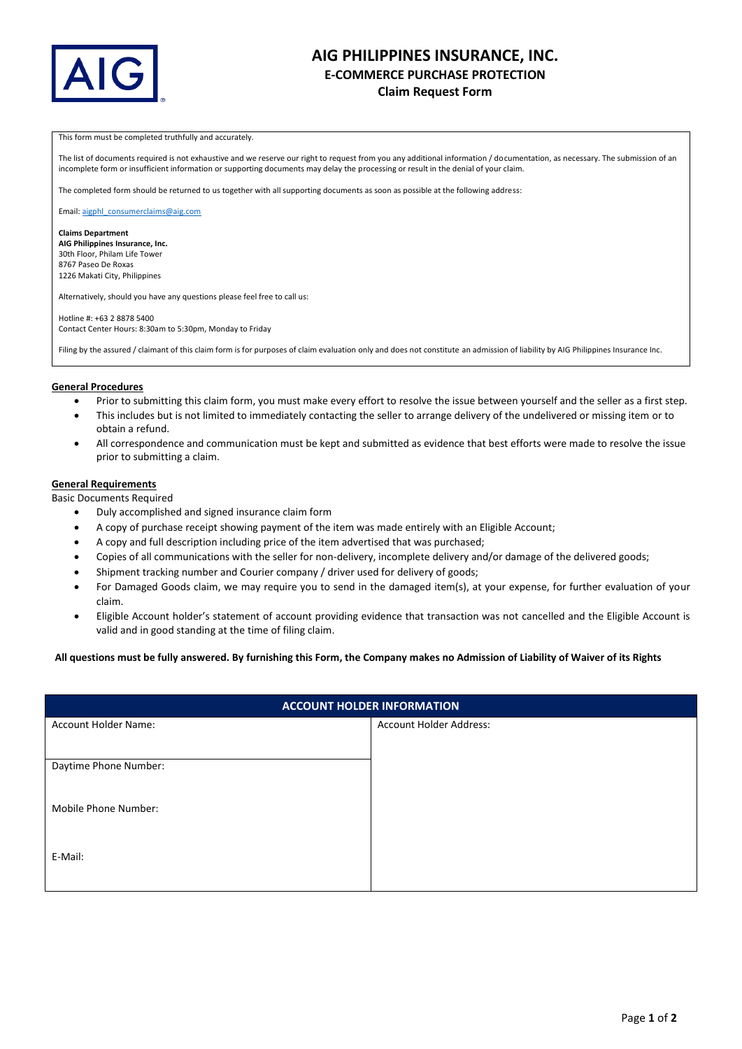

# **AIG PHILIPPINES INSURANCE, INC. E-COMMERCE PURCHASE PROTECTION Claim Request Form**

### This form must be completed truthfully and accurately.

The list of documents required is not exhaustive and we reserve our right to request from you any additional information / documentation, as necessary. The submission of an incomplete form or insufficient information or supporting documents may delay the processing or result in the denial of your claim.

The completed form should be returned to us together with all supporting documents as soon as possible at the following address:

Email[: aigphl\\_consumerclaims@aig.com](mailto:aigphl_consumerclaims@aig.com)

**Claims Department AIG Philippines Insurance, Inc.**  30th Floor, Philam Life Tower 8767 Paseo De Roxas 1226 Makati City, Philippines

Alternatively, should you have any questions please feel free to call us:

Hotline #: +63 2 8878 5400 Contact Center Hours: 8:30am to 5:30pm, Monday to Friday

Filing by the assured / claimant of this claim form is for purposes of claim evaluation only and does not constitute an admission of liability by AIG Philippines Insurance Inc.

## **General Procedures**

- Prior to submitting this claim form, you must make every effort to resolve the issue between yourself and the seller as a first step.
- This includes but is not limited to immediately contacting the seller to arrange delivery of the undelivered or missing item or to obtain a refund.
- All correspondence and communication must be kept and submitted as evidence that best efforts were made to resolve the issue prior to submitting a claim.

## **General Requirements**

Basic Documents Required

- Duly accomplished and signed insurance claim form
- A copy of purchase receipt showing payment of the item was made entirely with an Eligible Account;
- A copy and full description including price of the item advertised that was purchased;
- Copies of all communications with the seller for non-delivery, incomplete delivery and/or damage of the delivered goods;
- Shipment tracking number and Courier company / driver used for delivery of goods;
- For Damaged Goods claim, we may require you to send in the damaged item(s), at your expense, for further evaluation of your claim.
- Eligible Account holder's statement of account providing evidence that transaction was not cancelled and the Eligible Account is valid and in good standing at the time of filing claim.

## **All questions must be fully answered. By furnishing this Form, the Company makes no Admission of Liability of Waiver of its Rights**

| <b>ACCOUNT HOLDER INFORMATION</b> |                                |
|-----------------------------------|--------------------------------|
| Account Holder Name:              | <b>Account Holder Address:</b> |
|                                   |                                |
| Daytime Phone Number:             |                                |
|                                   |                                |
| Mobile Phone Number:              |                                |
|                                   |                                |
| E-Mail:                           |                                |
|                                   |                                |